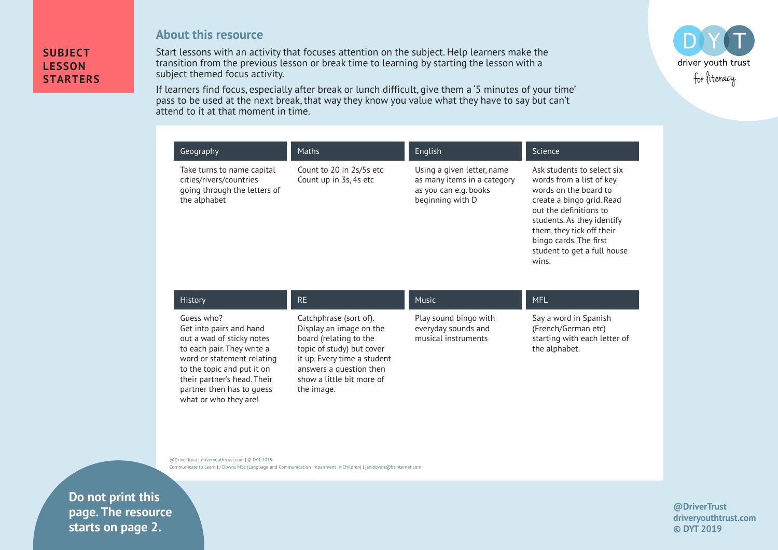## **SUBJECT LESSON STARTERS**

**About this resource**

Start lessons with an activity that focuses attention on the subject. Help learners make the transition from the previous lesson or break time to learning by starting the lesson with a subject themed focus activity.

If learners find focus, especially after break or lunch difficult, give them a '5 minutes of your time' pass to be used at the next break, that way they know you value what they have to say but can't attend to it at that moment in time.

| Geography                                                                                             | <b>Maths</b>                                       | English                                                                                                | Science                                                                                                                                                                                                                                                             |
|-------------------------------------------------------------------------------------------------------|----------------------------------------------------|--------------------------------------------------------------------------------------------------------|---------------------------------------------------------------------------------------------------------------------------------------------------------------------------------------------------------------------------------------------------------------------|
| Take turns to name capital<br>cities/rivers/countries<br>going through the letters of<br>the alphabet | Count to 20 in 2s/5s etc<br>Count up in 3s, 4s etc | Using a given letter, name<br>as many items in a category<br>as you can e.g. books<br>beginning with D | Ask students to select six<br>words from a list of key<br>words on the board to<br>create a bingo grid. Read<br>out the definitions to<br>students. As they identify<br>them, they tick off their<br>bingo cards. The first<br>student to get a full house<br>wins. |

| <b>History</b>                                                                                                                                                                                                                                    | <b>RE</b>                                                                                                                                                                                                     | <b>Music</b>                                                        | <b>MFL</b>                                                                                    |
|---------------------------------------------------------------------------------------------------------------------------------------------------------------------------------------------------------------------------------------------------|---------------------------------------------------------------------------------------------------------------------------------------------------------------------------------------------------------------|---------------------------------------------------------------------|-----------------------------------------------------------------------------------------------|
| Guess who?<br>Get into pairs and hand<br>out a wad of sticky notes<br>to each pair. They write a<br>word or statement relating<br>to the topic and put it on<br>their partner's head. Their<br>partner then has to quess<br>what or who they are! | Catchphrase (sort of).<br>Display an image on the<br>board (relating to the<br>topic of study) but cover<br>it up. Every time a student<br>answers a question then<br>show a little bit more of<br>the image. | Play sound bingo with<br>everyday sounds and<br>musical instruments | Say a word in Spanish<br>(French/German etc)<br>starting with each letter of<br>the alphabet. |

@DriverTrust | driveryouthtrust.com | © DYT 2019 Communicate to Learn | J Downs MSc (Language and Communication Impairment in Children) | jan.downs@btinternet.com

**EXECUTE:** Driver Page. The resource Communicate to Learn | J Downs MSc (Language and Communication Impairment in Children) | jan.downs@btinternet.com **starts on page 2.Do not print this** 

## **@DriverTrust driveryouthtrust.com © DYT 2019**

driver youth trust for literacy